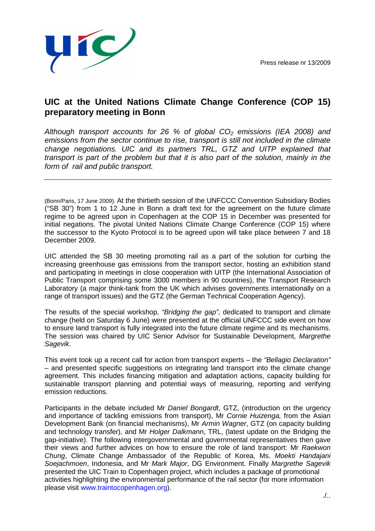

## **UIC at the United Nations Climate Change Conference (COP 15) preparatory meeting in Bonn**

Although transport accounts for 26 % of global  $CO<sub>2</sub>$  emissions (IEA 2008) and emissions from the sector continue to rise, transport is still not included in the climate change negotiations. UIC and its partners TRL, GTZ and UITP explained that transport is part of the problem but that it is also part of the solution, mainly in the form of rail and public transport.

(Bonn/Paris, 17 June 2009). At the thirtieth session of the UNFCCC Convention Subsidiary Bodies ("SB 30") from 1 to 12 June in Bonn a draft text for the agreement on the future climate regime to be agreed upon in Copenhagen at the COP 15 in December was presented for initial negations. The pivotal United Nations Climate Change Conference (COP 15) where the successor to the Kyoto Protocol is to be agreed upon will take place between 7 and 18 December 2009.

UIC attended the SB 30 meeting promoting rail as a part of the solution for curbing the increasing greenhouse gas emissions from the transport sector, hosting an exhibition stand and participating in meetings in close cooperation with UITP (the International Association of Public Transport comprising some 3000 members in 90 countries), the Transport Research Laboratory (a major think-tank from the UK which advises governments internationally on a range of transport issues) and the GTZ (the German Technical Cooperation Agency).

The results of the special workshop, "Bridging the gap", dedicated to transport and climate change (held on Saturday 6 June) were presented at the official UNFCCC side event on how to ensure land transport is fully integrated into the future climate regime and its mechanisms. The session was chaired by UIC Senior Advisor for Sustainable Development, Margrethe Sagevik.

This event took up a recent call for action from transport experts – the "Bellagio Declaration" – and presented specific suggestions on integrating land transport into the climate change agreement. This includes financing mitigation and adaptation actions, capacity building for sustainable transport planning and potential ways of measuring, reporting and verifying emission reductions.

Participants in the debate included Mr Daniel Bongardt, GTZ, (introduction on the urgency and importance of tackling emissions from transport). Mr Cornie Huizenga, from the Asian Development Bank (on financial mechanisms), Mr Armin Wagner, GTZ (on capacity building and technology transfer), and Mr Holger Dalkmann, TRL, (latest update on the Bridging the gap-initiative). The following intergovernmental and governmental representatives then gave their views and further advices on how to ensure the role of land transport: Mr Raekwon Chung, Climate Change Ambassador of the Republic of Korea, Ms. Moekti Handajani Soejachmoen, Indonesia, and Mr Mark Major, DG Environment. Finally Margrethe Sagevik presented the UIC Train to Copenhagen project, which includes a package of promotional activities highlighting the environmental performance of the rail sector (for more information please visit www.traintocopenhagen.org).